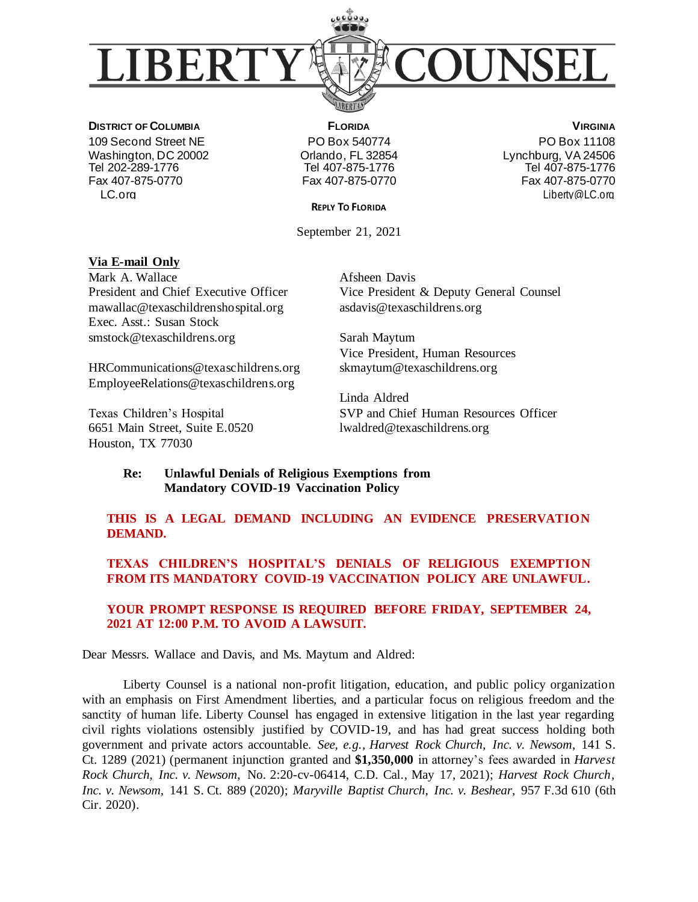

**DISTRICT OF COLUMBIA** 109 Second Street NE Washington, DC 20002 Tel 202-289-1776 Fax 407-875-0770 LC.org

**FLORIDA** PO Box 540774 Orlando, FL 32854 Tel 407-875-1776 Fax 407-875-0770

**VIRGINIA** PO Box 11108 Lynchburg, VA 24506 Tel 407-875-1776 Fax 407-875-0770 Liberty@LC.org

**REPLY TO FLORIDA**

September 21, 2021

#### **Via E-mail Only**

Mark A. Wallace President and Chief Executive Officer mawallac@texaschildrenshospital.org Exec. Asst.: Susan Stock smstock@texaschildrens.org

HRCommunications@texaschildrens.org EmployeeRelations@texaschildrens.org

Texas Children's Hospital 6651 Main Street, Suite E.0520 Houston, TX 77030

Afsheen Davis Vice President & Deputy General Counsel asdavis@texaschildrens.org

Sarah Maytum Vice President, Human Resources skmaytum@texaschildrens.org

Linda Aldred SVP and Chief Human Resources Officer lwaldred@texaschildrens.org

#### **Re: Unlawful Denials of Religious Exemptions from Mandatory COVID-19 Vaccination Policy**

## **THIS IS A LEGAL DEMAND INCLUDING AN EVIDENCE PRESERVATION DEMAND.**

# **TEXAS CHILDREN'S HOSPITAL'S DENIALS OF RELIGIOUS EXEMPTION FROM ITS MANDATORY COVID-19 VACCINATION POLICY ARE UNLAWFUL.**

## **YOUR PROMPT RESPONSE IS REQUIRED BEFORE FRIDAY, SEPTEMBER 24, 2021 AT 12:00 P.M. TO AVOID A LAWSUIT.**

Dear Messrs. Wallace and Davis, and Ms. Maytum and Aldred:

Liberty Counsel is a national non-profit litigation, education, and public policy organization with an emphasis on First Amendment liberties, and a particular focus on religious freedom and the sanctity of human life. Liberty Counsel has engaged in extensive litigation in the last year regarding civil rights violations ostensibly justified by COVID-19, and has had great success holding both government and private actors accountable. *See, e.g., Harvest Rock Church, Inc. v. Newsom*, 141 S. Ct. 1289 (2021) (permanent injunction granted and **\$1,350,000** in attorney's fees awarded in *Harvest Rock Church, Inc. v. Newsom*, No. 2:20-cv-06414, C.D. Cal., May 17, 2021); *Harvest Rock Church, Inc. v. Newsom,* 141 S. Ct. 889 (2020); *Maryville Baptist Church, Inc. v. Beshear*, 957 F.3d 610 (6th Cir. 2020).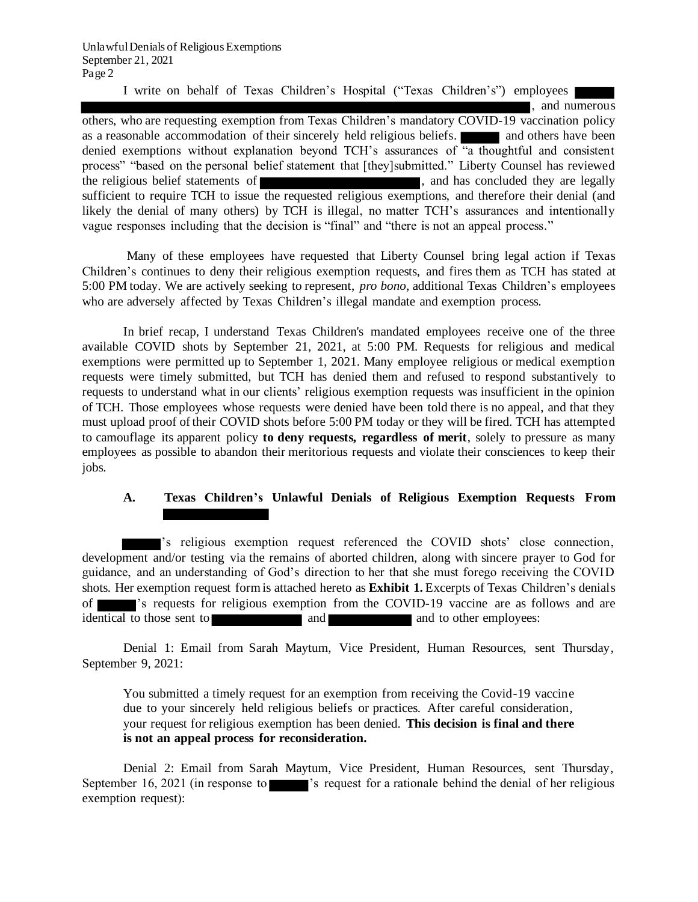I write on behalf of Texas Children's Hospital ("Texas Children's") employees

, and numerous others, who are requesting exemption from Texas Children's mandatory COVID-19 vaccination policy as a reasonable accommodation of their sincerely held religious beliefs. **All and others have been** denied exemptions without explanation beyond TCH's assurances of "a thoughtful and consistent process" "based on the personal belief statement that [they]submitted." Liberty Counsel has reviewed the religious belief statements of  $\blacksquare$ , and has concluded they are legally sufficient to require TCH to issue the requested religious exemptions, and therefore their denial (and likely the denial of many others) by TCH is illegal, no matter TCH's assurances and intentionally vague responses including that the decision is "final" and "there is not an appeal process."

Many of these employees have requested that Liberty Counsel bring legal action if Texas Children's continues to deny their religious exemption requests, and fires them as TCH has stated at 5:00 PM today. We are actively seeking to represent, *pro bono*, additional Texas Children's employees who are adversely affected by Texas Children's illegal mandate and exemption process.

In brief recap, I understand Texas Children's mandated employees receive one of the three available COVID shots by September 21, 2021, at 5:00 PM. Requests for religious and medical exemptions were permitted up to September 1, 2021. Many employee religious or medical exemption requests were timely submitted, but TCH has denied them and refused to respond substantively to requests to understand what in our clients' religious exemption requests was insufficient in the opinion of TCH. Those employees whose requests were denied have been told there is no appeal, and that they must upload proof of their COVID shots before 5:00 PM today or they will be fired. TCH has attempted to camouflage its apparent policy **to deny requests, regardless of merit**, solely to pressure as many employees as possible to abandon their meritorious requests and violate their consciences to keep their jobs.

# **A. Texas Children's Unlawful Denials of Religious Exemption Requests From**

's religious exemption request referenced the COVID shots' close connection, development and/or testing via the remains of aborted children, along with sincere prayer to God for guidance, and an understanding of God's direction to her that she must forego receiving the COVID shots. Her exemption request form is attached hereto as **Exhibit 1.** Excerpts of Texas Children's denials of 's requests for religious exemption from the COVID-19 vaccine are as follows and are identical to those sent to and and and to other employees:

Denial 1: Email from Sarah Maytum, Vice President, Human Resources, sent Thursday, September 9, 2021:

You submitted a timely request for an exemption from receiving the Covid-19 vaccine due to your sincerely held religious beliefs or practices. After careful consideration, your request for religious exemption has been denied. **This decision is final and there is not an appeal process for reconsideration.**

Denial 2: Email from Sarah Maytum, Vice President, Human Resources, sent Thursday, September 16, 2021 (in response to 's request for a rationale behind the denial of her religious exemption request):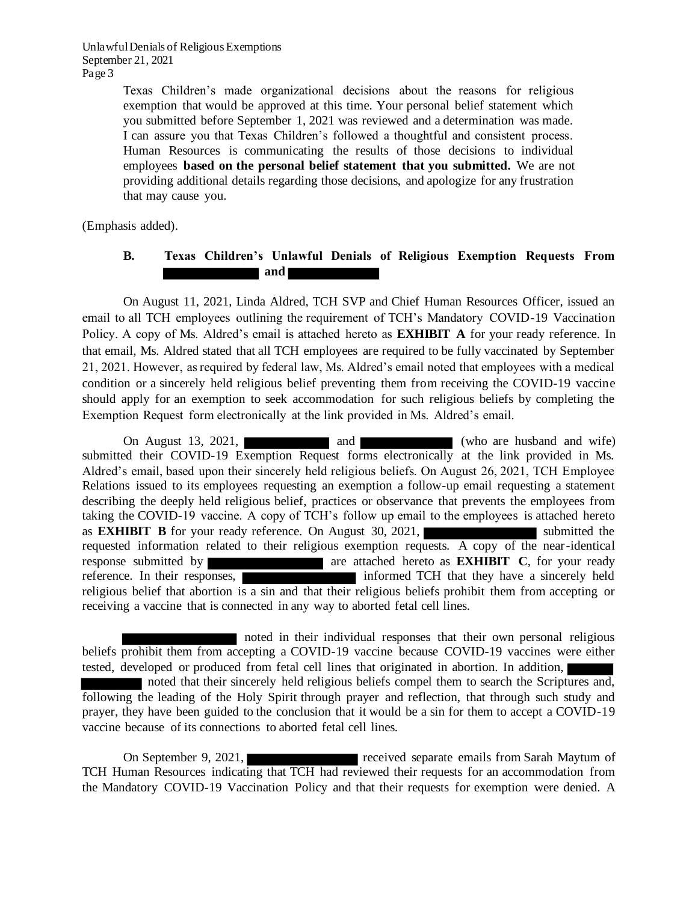> Texas Children's made organizational decisions about the reasons for religious exemption that would be approved at this time. Your personal belief statement which you submitted before September 1, 2021 was reviewed and a determination was made. I can assure you that Texas Children's followed a thoughtful and consistent process. Human Resources is communicating the results of those decisions to individual employees **based on the personal belief statement that you submitted.** We are not providing additional details regarding those decisions, and apologize for any frustration that may cause you.

(Emphasis added).

#### **B. Texas Children's Unlawful Denials of Religious Exemption Requests From and and**

On August 11, 2021, Linda Aldred, TCH SVP and Chief Human Resources Officer, issued an email to all TCH employees outlining the requirement of TCH's Mandatory COVID-19 Vaccination Policy. A copy of Ms. Aldred's email is attached hereto as **EXHIBIT A** for your ready reference. In that email, Ms. Aldred stated that all TCH employees are required to be fully vaccinated by September 21, 2021. However, as required by federal law, Ms. Aldred's email noted that employees with a medical condition or a sincerely held religious belief preventing them from receiving the COVID-19 vaccine should apply for an exemption to seek accommodation for such religious beliefs by completing the Exemption Request form electronically at the link provided in Ms. Aldred's email.

On August 13, 2021, and and two are husband and wife) submitted their COVID-19 Exemption Request forms electronically at the link provided in Ms. Aldred's email, based upon their sincerely held religious beliefs. On August 26, 2021, TCH Employee Relations issued to its employees requesting an exemption a follow-up email requesting a statement describing the deeply held religious belief, practices or observance that prevents the employees from taking the COVID-19 vaccine. A copy of TCH's follow up email to the employees is attached hereto as **EXHIBIT B** for your ready reference. On August 30, 2021, requested information related to their religious exemption requests. A copy of the near-identical response submitted by **are attached hereto as <b>EXHIBIT** C, for your ready reference. In their responses, informed TCH that they have a sincerely held religious belief that abortion is a sin and that their religious beliefs prohibit them from accepting or receiving a vaccine that is connected in any way to aborted fetal cell lines.

noted in their individual responses that their own personal religious beliefs prohibit them from accepting a COVID-19 vaccine because COVID-19 vaccines were either tested, developed or produced from fetal cell lines that originated in abortion. In addition,

noted that their sincerely held religious beliefs compel them to search the Scriptures and, following the leading of the Holy Spirit through prayer and reflection, that through such study and prayer, they have been guided to the conclusion that it would be a sin for them to accept a COVID-19 vaccine because of its connections to aborted fetal cell lines.

On September 9, 2021, received separate emails from Sarah Maytum of TCH Human Resources indicating that TCH had reviewed their requests for an accommodation from the Mandatory COVID-19 Vaccination Policy and that their requests for exemption were denied. A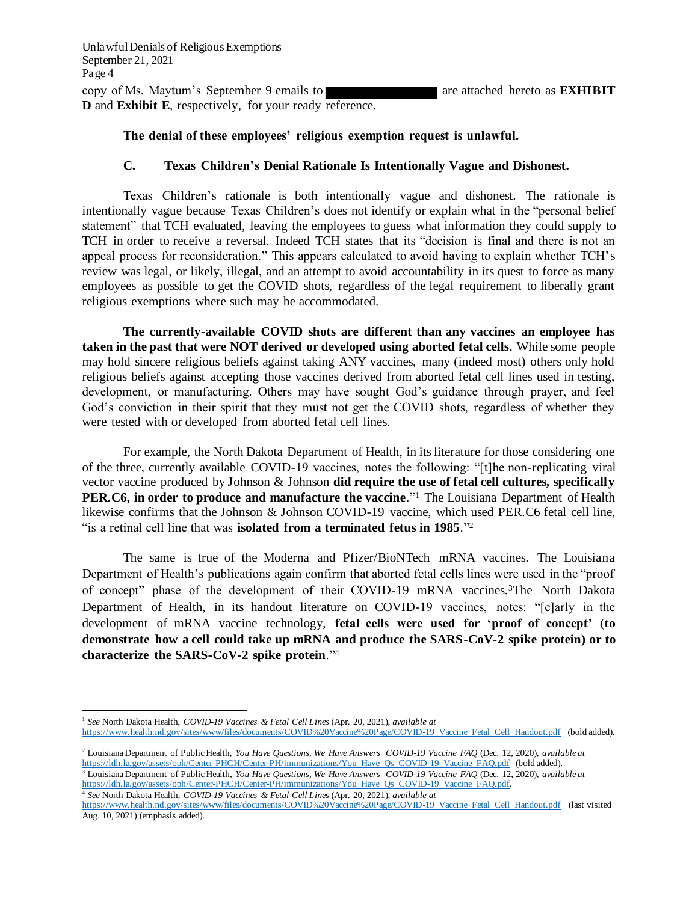copy of Ms. Maytum's September 9 emails to are attached hereto as **EXHIBIT D** and **Exhibit E**, respectively, for your ready reference.

## **The denial of these employees' religious exemption request is unlawful.**

#### **C. Texas Children's Denial Rationale Is Intentionally Vague and Dishonest.**

Texas Children's rationale is both intentionally vague and dishonest. The rationale is intentionally vague because Texas Children's does not identify or explain what in the "personal belief statement" that TCH evaluated, leaving the employees to guess what information they could supply to TCH in order to receive a reversal. Indeed TCH states that its "decision is final and there is not an appeal process for reconsideration." This appears calculated to avoid having to explain whether TCH's review was legal, or likely, illegal, and an attempt to avoid accountability in its quest to force as many employees as possible to get the COVID shots, regardless of the legal requirement to liberally grant religious exemptions where such may be accommodated.

**The currently-available COVID shots are different than any vaccines an employee has taken in the past that were NOT derived or developed using aborted fetal cells**. While some people may hold sincere religious beliefs against taking ANY vaccines, many (indeed most) others only hold religious beliefs against accepting those vaccines derived from aborted fetal cell lines used in testing, development, or manufacturing. Others may have sought God's guidance through prayer, and feel God's conviction in their spirit that they must not get the COVID shots, regardless of whether they were tested with or developed from aborted fetal cell lines.

For example, the North Dakota Department of Health, in its literature for those considering one of the three, currently available COVID-19 vaccines, notes the following: "[t]he non-replicating viral vector vaccine produced by Johnson & Johnson **did require the use of fetal cell cultures, specifically PER.C6, in order to produce and manufacture the vaccine**."<sup>1</sup> The Louisiana Department of Health likewise confirms that the Johnson & Johnson COVID-19 vaccine, which used PER.C6 fetal cell line, "is a retinal cell line that was **isolated from a terminated fetus in 1985**."<sup>2</sup>

The same is true of the Moderna and Pfizer/BioNTech mRNA vaccines. The Louisiana Department of Health's publications again confirm that aborted fetal cells lines were used in the "proof of concept" phase of the development of their COVID-19 mRNA vaccines.3The North Dakota Department of Health, in its handout literature on COVID-19 vaccines, notes: "[e]arly in the development of mRNA vaccine technology, **fetal cells were used for 'proof of concept' (to demonstrate how a cell could take up mRNA and produce the SARS-CoV-2 spike protein) or to characterize the SARS-CoV-2 spike protein**."<sup>4</sup>

https://ldh.la.gov/assets/oph/Center-PHCH/Center-PH/immunizations/You Have Qs COVID-19 Vaccine FAQ.pdf. 4 *See* North Dakota Health, *COVID-19 Vaccines & Fetal Cell Lines* (Apr. 20, 2021), *available at* 

<sup>1</sup> *See* North Dakota Health, *COVID-19 Vaccines & Fetal Cell Lines* (Apr. 20, 2021), *available at*  https://www.health.nd.gov/sites/www/files/documents/COVID%20Vaccine%20Page/COVID-19 Vaccine Fetal Cell Handout.pdf (bold added).

<sup>2</sup> Louisiana Department of Public Health, *You Have Questions, We Have Answers COVID-19 Vaccine FAQ* (Dec. 12, 2020), *available at*  https://ldh.la.gov/assets/oph/Center-PHCH/Center-PH/immunizations/You Have Qs COVID-19 Vaccine FAQ.pdf (bold added). <sup>3</sup> Louisiana Department of Public Health, *You Have Questions, We Have Answers COVID-19 Vaccine FAQ* (Dec. 12, 2020), *available at* 

https://www.health.nd.gov/sites/www/files/documents/COVID%20Vaccine%20Page/COVID-19 Vaccine Fetal Cell Handout.pdf (last visited Aug. 10, 2021) (emphasis added).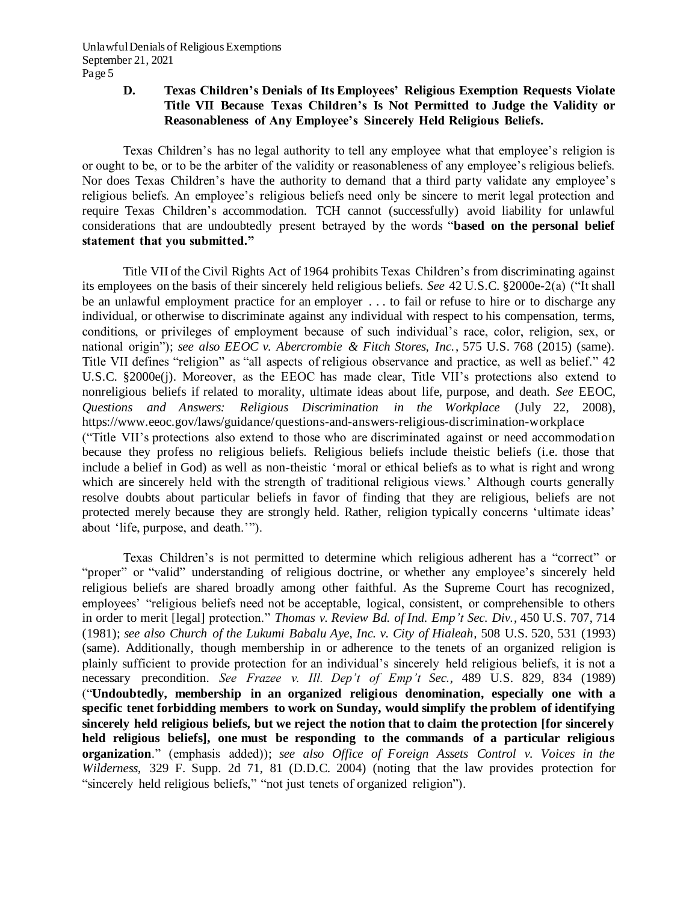## **D. Texas Children's Denials of Its Employees' Religious Exemption Requests Violate Title VII Because Texas Children's Is Not Permitted to Judge the Validity or Reasonableness of Any Employee's Sincerely Held Religious Beliefs.**

Texas Children's has no legal authority to tell any employee what that employee's religion is or ought to be, or to be the arbiter of the validity or reasonableness of any employee's religious beliefs. Nor does Texas Children's have the authority to demand that a third party validate any employee's religious beliefs. An employee's religious beliefs need only be sincere to merit legal protection and require Texas Children's accommodation. TCH cannot (successfully) avoid liability for unlawful considerations that are undoubtedly present betrayed by the words "**based on the personal belief statement that you submitted."**

Title VII of the Civil Rights Act of 1964 prohibits Texas Children's from discriminating against its employees on the basis of their sincerely held religious beliefs. *See* 42 U.S.C. §2000e-2(a) ("It shall be an unlawful employment practice for an employer . . . to fail or refuse to hire or to discharge any individual, or otherwise to discriminate against any individual with respect to his compensation, terms, conditions, or privileges of employment because of such individual's race, color, religion, sex, or national origin"); *see also EEOC v. Abercrombie & Fitch Stores, Inc.*, 575 U.S. 768 (2015) (same). Title VII defines "religion" as "all aspects of religious observance and practice, as well as belief." 42 U.S.C. §2000e(j). Moreover, as the EEOC has made clear, Title VII's protections also extend to nonreligious beliefs if related to morality, ultimate ideas about life, purpose, and death. *See* EEOC, *Questions and Answers: Religious Discrimination in the Workplace* (July 22, 2008), https://www.eeoc.gov/laws/guidance/questions-and-answers-religious-discrimination-workplace ("Title VII's protections also extend to those who are discriminated against or need accommodation because they profess no religious beliefs. Religious beliefs include theistic beliefs (i.e. those that include a belief in God) as well as non-theistic 'moral or ethical beliefs as to what is right and wrong which are sincerely held with the strength of traditional religious views.' Although courts generally resolve doubts about particular beliefs in favor of finding that they are religious, beliefs are not protected merely because they are strongly held. Rather, religion typically concerns 'ultimate ideas' about 'life, purpose, and death.'").

Texas Children's is not permitted to determine which religious adherent has a "correct" or "proper" or "valid" understanding of religious doctrine, or whether any employee's sincerely held religious beliefs are shared broadly among other faithful. As the Supreme Court has recognized, employees' "religious beliefs need not be acceptable, logical, consistent, or comprehensible to others in order to merit [legal] protection." *Thomas v. Review Bd. of Ind. Emp't Sec. Div.*, 450 U.S. 707, 714 (1981); *see also Church of the Lukumi Babalu Aye, Inc. v. City of Hialeah,* 508 U.S. 520, 531 (1993) (same). Additionally, though membership in or adherence to the tenets of an organized religion is plainly sufficient to provide protection for an individual's sincerely held religious beliefs, it is not a necessary precondition. *See Frazee v. Ill. Dep't of Emp't Sec.*, 489 U.S. 829, 834 (1989) ("**Undoubtedly, membership in an organized religious denomination, especially one with a specific tenet forbidding members to work on Sunday, would simplify the problem of identifying sincerely held religious beliefs, but we reject the notion that to claim the protection [for sincerely held religious beliefs], one must be responding to the commands of a particular religious organization**." (emphasis added)); *see also Office of Foreign Assets Control v. Voices in the Wilderness*, 329 F. Supp. 2d 71, 81 (D.D.C. 2004) (noting that the law provides protection for "sincerely held religious beliefs," "not just tenets of organized religion").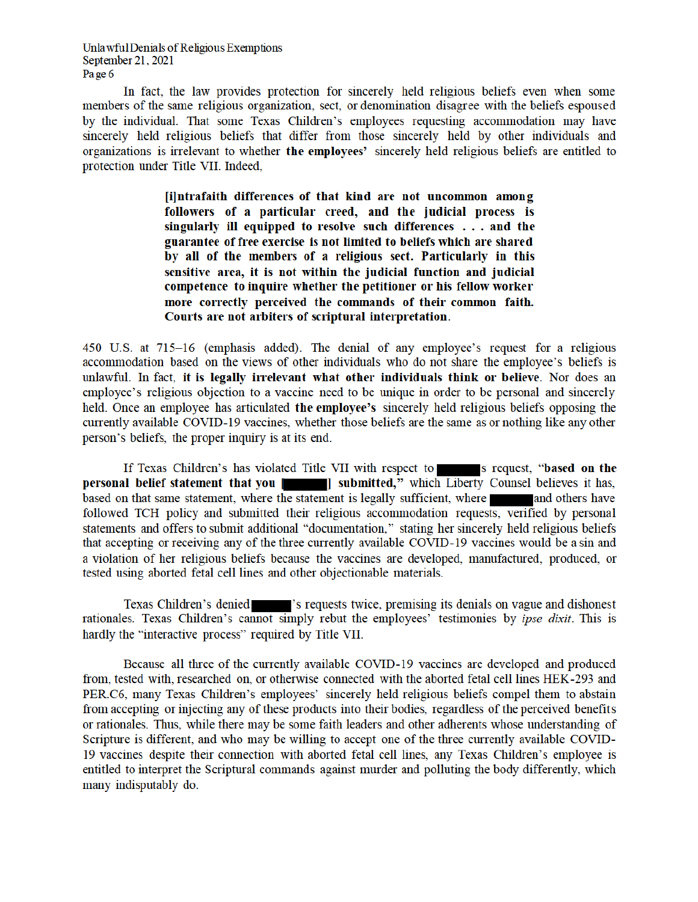In fact, the law provides protection for sincerely held religious beliefs even when some members of the same religious organization, sect, or denomination disagree with the beliefs espoused by the individual. That some Texas Children's employees requesting accommodation may have sincerely held religious beliefs that differ from those sincerely held by other individuals and organizations is irrelevant to whether the employees' sincerely held religious beliefs are entitled to protection under Title VII. Indeed,

> [i]ntrafaith differences of that kind are not uncommon among followers of a particular creed, and the judicial process is singularly ill equipped to resolve such differences . . . and the guarantee of free exercise is not limited to beliefs which are shared by all of the members of a religious sect. Particularly in this sensitive area, it is not within the judicial function and judicial competence to inquire whether the petitioner or his fellow worker more correctly perceived the commands of their common faith. Courts are not arbiters of scriptural interpretation.

450 U.S. at 715–16 (emphasis added). The denial of any employee's request for a religious accommodation based on the views of other individuals who do not share the employee's beliefs is unlawful. In fact, it is legally irrelevant what other individuals think or believe. Nor does an employee's religious objection to a vaccine need to be unique in order to be personal and sincerely held. Once an employee has articulated the employee's sincerely held religious beliefs opposing the currently available COVID-19 vaccines, whether those beliefs are the same as or nothing like any other person's beliefs, the proper inquiry is at its end.

If Texas Children's has violated Title VII with respect to s request, "based on the personal belief statement that you | submitted," which Liberty Counsel believes it has, based on that same statement, where the statement is legally sufficient, where a and others have followed TCH policy and submitted their religious accommodation requests, verified by personal statements and offers to submit additional "documentation." stating her sincerely held religious beliefs that accepting or receiving any of the three currently available COVID-19 vaccines would be a sin and a violation of her religious beliefs because the vaccines are developed, manufactured, produced, or tested using aborted fetal cell lines and other objectionable materials.

Texas Children's denied states' is requested twice, premising its denials on vague and dishonest rationales. Texas Children's cannot simply rebut the employees' testimonies by ipse dixit. This is hardly the "interactive process" required by Title VII.

Because all three of the currently available COVID-19 vaccines are developed and produced from, tested with, researched on, or otherwise connected with the aborted fetal cell lines HEK-293 and PER.C6, many Texas Children's employees' sincerely held religious beliefs compel them to abstain from accepting or injecting any of these products into their bodies, regardless of the perceived benefits or rationales. Thus, while there may be some faith leaders and other adherents whose understanding of Scripture is different, and who may be willing to accept one of the three currently available COVID-19 vaccines despite their connection with aborted fetal cell lines, any Texas Children's employee is entitled to interpret the Scriptural commands against murder and polluting the body differently, which many indisputably do.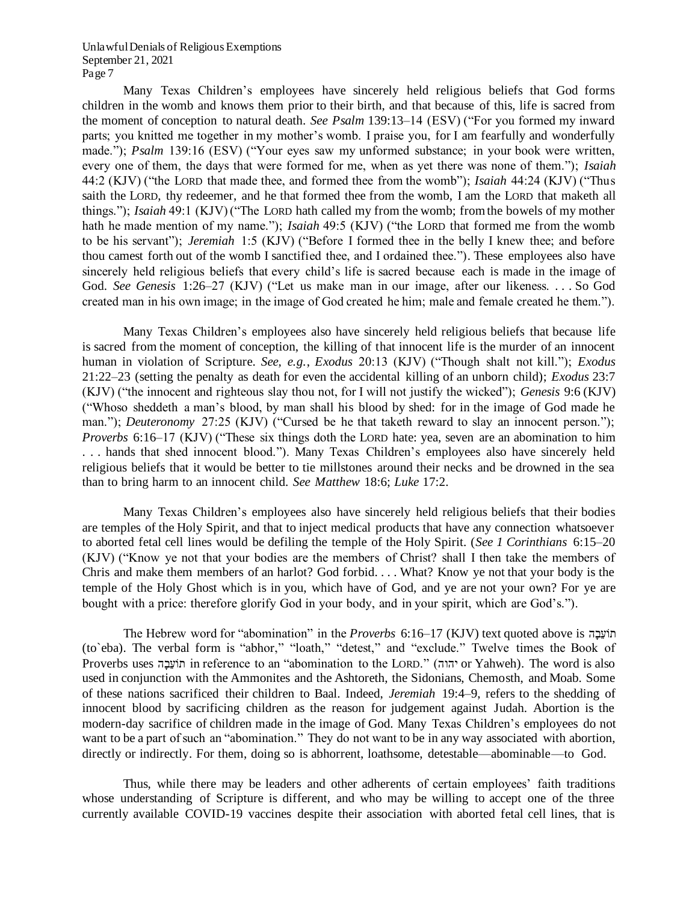Many Texas Children's employees have sincerely held religious beliefs that God forms children in the womb and knows them prior to their birth, and that because of this, life is sacred from the moment of conception to natural death. *See Psalm* 139:13–14 (ESV) ("For you formed my inward parts; you knitted me together in my mother's womb. I praise you, for I am fearfully and wonderfully made."); *Psalm* 139:16 (ESV) ("Your eyes saw my unformed substance; in your book were written, every one of them, the days that were formed for me, when as yet there was none of them."); *Isaiah*  44:2 (KJV) ("the LORD that made thee, and formed thee from the womb"); *Isaiah* 44:24 (KJV) ("Thus saith the LORD, thy redeemer, and he that formed thee from the womb, I am the LORD that maketh all things."); *Isaiah* 49:1 (KJV) ("The LORD hath called my from the womb; from the bowels of my mother hath he made mention of my name."); *Isaiah* 49:5 (KJV) ("the LORD that formed me from the womb to be his servant"); *Jeremiah* 1:5 (KJV) ("Before I formed thee in the belly I knew thee; and before thou camest forth out of the womb I sanctified thee, and I ordained thee."). These employees also have sincerely held religious beliefs that every child's life is sacred because each is made in the image of God. *See Genesis* 1:26–27 (KJV) ("Let us make man in our image, after our likeness. . . . So God created man in his own image; in the image of God created he him; male and female created he them.").

Many Texas Children's employees also have sincerely held religious beliefs that because life is sacred from the moment of conception, the killing of that innocent life is the murder of an innocent human in violation of Scripture. *See, e.g.*, *Exodus* 20:13 (KJV) ("Though shalt not kill."); *Exodus*  21:22–23 (setting the penalty as death for even the accidental killing of an unborn child); *Exodus* 23:7 (KJV) ("the innocent and righteous slay thou not, for I will not justify the wicked"); *Genesis* 9:6 (KJV) ("Whoso sheddeth a man's blood, by man shall his blood by shed: for in the image of God made he man."); *Deuteronomy* 27:25 (KJV) ("Cursed be he that taketh reward to slay an innocent person."); *Proverbs* 6:16–17 (KJV) ("These six things doth the LORD hate: yea, seven are an abomination to him . . . hands that shed innocent blood."). Many Texas Children's employees also have sincerely held religious beliefs that it would be better to tie millstones around their necks and be drowned in the sea than to bring harm to an innocent child. *See Matthew* 18:6; *Luke* 17:2.

Many Texas Children's employees also have sincerely held religious beliefs that their bodies are temples of the Holy Spirit, and that to inject medical products that have any connection whatsoever to aborted fetal cell lines would be defiling the temple of the Holy Spirit. (*See 1 Corinthians* 6:15–20 (KJV) ("Know ye not that your bodies are the members of Christ? shall I then take the members of Chris and make them members of an harlot? God forbid. . . . What? Know ye not that your body is the temple of the Holy Ghost which is in you, which have of God, and ye are not your own? For ye are bought with a price: therefore glorify God in your body, and in your spirit, which are God's.").

The Hebrew word for "abomination" in the *Proverbs* 6:16–17 (KJV) text quoted above is הָבֵועֹת (to`eba). The verbal form is "abhor," "loath," "detest," and "exclude." Twelve times the Book of Proverbs uses יהֹוֹעֲבָה in reference to an "abomination to the LORD." (יהוה or Yahweh). The word is also used in conjunction with the Ammonites and the Ashtoreth, the Sidonians, Chemosth, and Moab. Some of these nations sacrificed their children to Baal. Indeed, *Jeremiah* 19:4–9, refers to the shedding of innocent blood by sacrificing children as the reason for judgement against Judah. Abortion is the modern-day sacrifice of children made in the image of God. Many Texas Children's employees do not want to be a part of such an "abomination." They do not want to be in any way associated with abortion, directly or indirectly. For them, doing so is abhorrent, loathsome, detestable—abominable—to God.

Thus, while there may be leaders and other adherents of certain employees' faith traditions whose understanding of Scripture is different, and who may be willing to accept one of the three currently available COVID-19 vaccines despite their association with aborted fetal cell lines, that is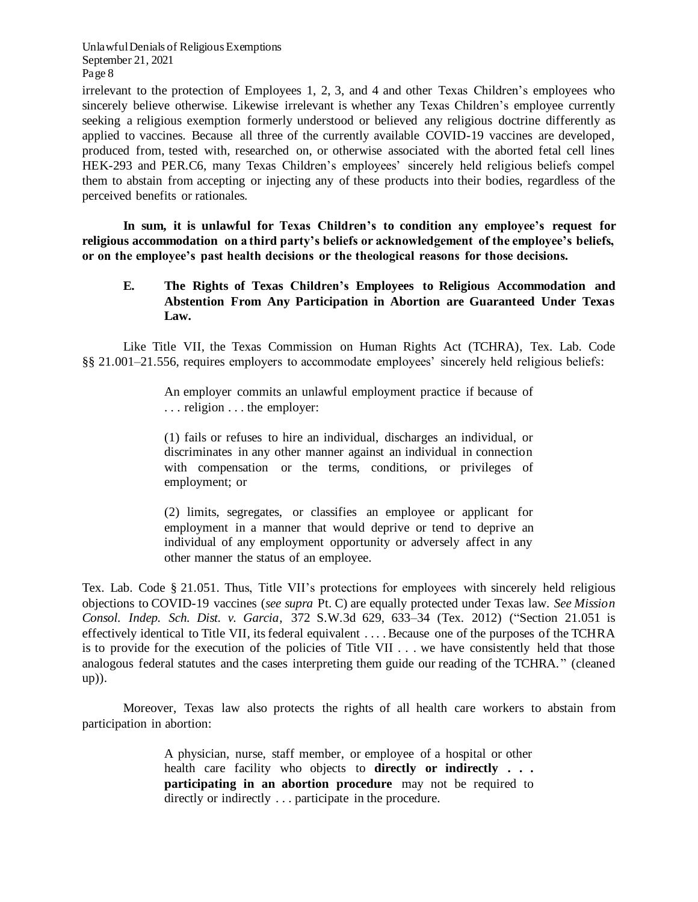irrelevant to the protection of Employees 1, 2, 3, and 4 and other Texas Children's employees who sincerely believe otherwise. Likewise irrelevant is whether any Texas Children's employee currently seeking a religious exemption formerly understood or believed any religious doctrine differently as applied to vaccines. Because all three of the currently available COVID-19 vaccines are developed, produced from, tested with, researched on, or otherwise associated with the aborted fetal cell lines HEK-293 and PER.C6, many Texas Children's employees' sincerely held religious beliefs compel them to abstain from accepting or injecting any of these products into their bodies, regardless of the perceived benefits or rationales.

**In sum, it is unlawful for Texas Children's to condition any employee's request for religious accommodation on a third party's beliefs or acknowledgement of the employee's beliefs, or on the employee's past health decisions or the theological reasons for those decisions.**

## **E. The Rights of Texas Children's Employees to Religious Accommodation and Abstention From Any Participation in Abortion are Guaranteed Under Texas Law.**

Like Title VII, the Texas Commission on Human Rights Act (TCHRA), Tex. Lab. Code §§ 21.001–21.556, requires employers to accommodate employees' sincerely held religious beliefs:

> An employer commits an unlawful employment practice if because of . . . religion . . . the employer:

> (1) fails or refuses to hire an individual, discharges an individual, or discriminates in any other manner against an individual in connection with compensation or the terms, conditions, or privileges of employment; or

> (2) limits, segregates, or classifies an employee or applicant for employment in a manner that would deprive or tend to deprive an individual of any employment opportunity or adversely affect in any other manner the status of an employee.

Tex. Lab. Code § 21.051. Thus, Title VII's protections for employees with sincerely held religious objections to COVID-19 vaccines (*see supra* Pt. C) are equally protected under Texas law. *See Mission Consol. Indep. Sch. Dist. v. Garcia*, 372 S.W.3d 629, 633–34 (Tex. 2012) ("Section 21.051 is effectively identical to Title VII, its federal equivalent . . . . Because one of the purposes of the TCHRA is to provide for the execution of the policies of Title VII . . . we have consistently held that those analogous federal statutes and the cases interpreting them guide our reading of the TCHRA." (cleaned up)).

Moreover, Texas law also protects the rights of all health care workers to abstain from participation in abortion:

> A physician, nurse, staff member, or employee of a hospital or other health care facility who objects to **directly or indirectly . . . participating in an abortion procedure** may not be required to directly or indirectly . . . participate in the procedure.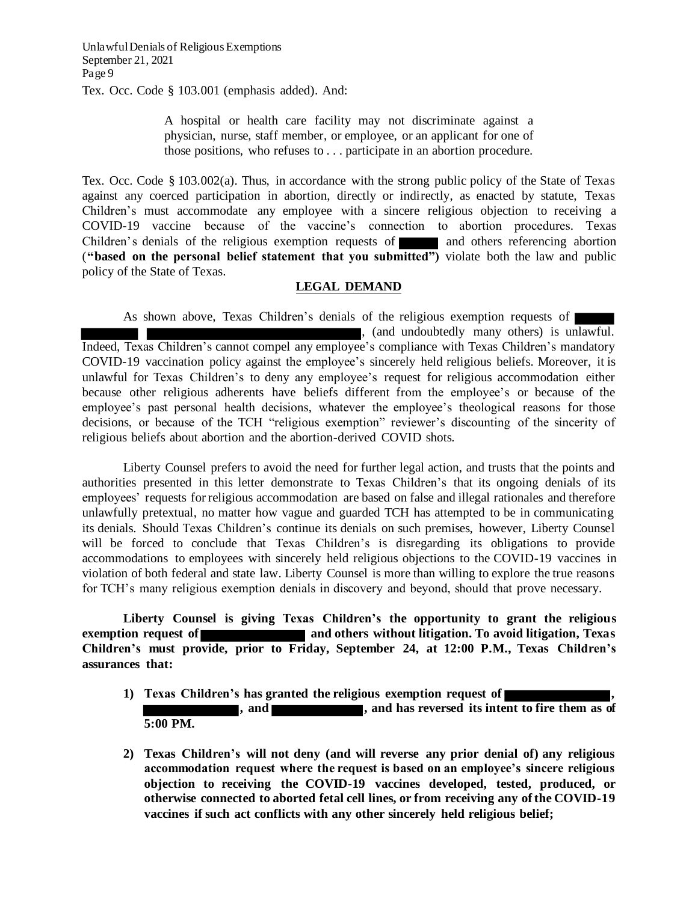Tex. Occ. Code § 103.001 (emphasis added). And:

A hospital or health care facility may not discriminate against a physician, nurse, staff member, or employee, or an applicant for one of those positions, who refuses to . . . participate in an abortion procedure.

Tex. Occ. Code § 103.002(a). Thus, in accordance with the strong public policy of the State of Texas against any coerced participation in abortion, directly or indirectly, as enacted by statute, Texas Children's must accommodate any employee with a sincere religious objection to receiving a COVID-19 vaccine because of the vaccine's connection to abortion procedures. Texas Children's denials of the religious exemption requests of and others referencing abortion (**"based on the personal belief statement that you submitted")** violate both the law and public policy of the State of Texas.

## **LEGAL DEMAND**

As shown above, Texas Children's denials of the religious exemption requests of , (and undoubtedly many others) is unlawful. Indeed, Texas Children's cannot compel any employee's compliance with Texas Children's mandatory COVID-19 vaccination policy against the employee's sincerely held religious beliefs. Moreover, it is unlawful for Texas Children's to deny any employee's request for religious accommodation either because other religious adherents have beliefs different from the employee's or because of the employee's past personal health decisions, whatever the employee's theological reasons for those decisions, or because of the TCH "religious exemption" reviewer's discounting of the sincerity of religious beliefs about abortion and the abortion-derived COVID shots.

Liberty Counsel prefers to avoid the need for further legal action, and trusts that the points and authorities presented in this letter demonstrate to Texas Children's that its ongoing denials of its employees' requests forreligious accommodation are based on false and illegal rationales and therefore unlawfully pretextual, no matter how vague and guarded TCH has attempted to be in communicating its denials. Should Texas Children's continue its denials on such premises, however, Liberty Counsel will be forced to conclude that Texas Children's is disregarding its obligations to provide accommodations to employees with sincerely held religious objections to the COVID-19 vaccines in violation of both federal and state law. Liberty Counsel is more than willing to explore the true reasons for TCH's many religious exemption denials in discovery and beyond, should that prove necessary.

**Liberty Counsel is giving Texas Children's the opportunity to grant the religious exemption request** of **and others without litigation. To avoid litigation, Texas Children's must provide, prior to Friday, September 24, at 12:00 P.M., Texas Children's assurances that:** 

- **1) Texas Children's has granted the religious exemption request of , , and <b>has reversed** its intent to fire them as of **5:00 PM.**
- **2) Texas Children's will not deny (and will reverse any prior denial of) any religious accommodation request where the request is based on an employee's sincere religious objection to receiving the COVID-19 vaccines developed, tested, produced, or otherwise connected to aborted fetal cell lines, or from receiving any of the COVID-19 vaccines if such act conflicts with any other sincerely held religious belief;**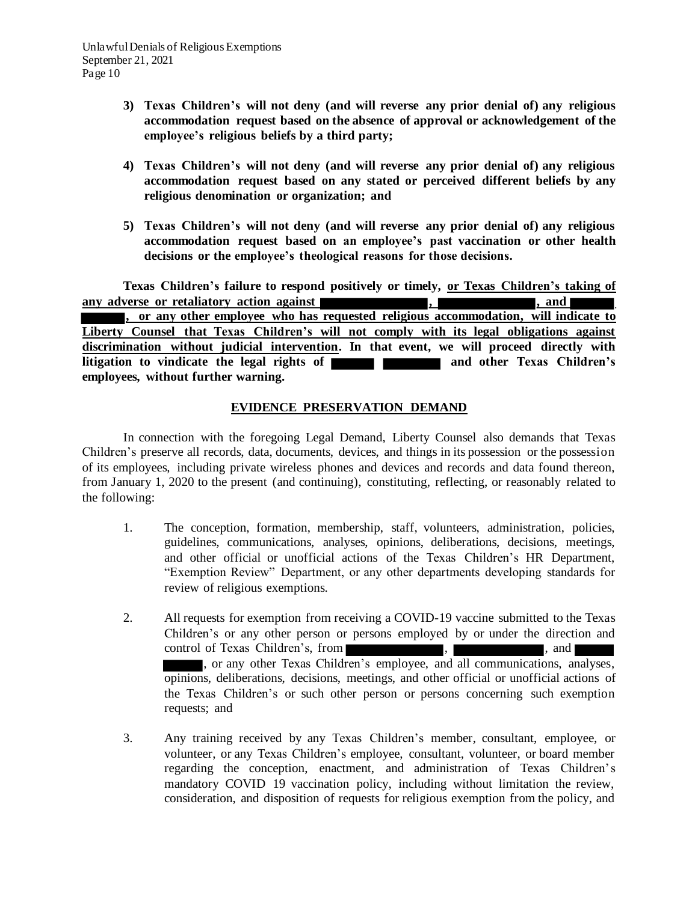- **3) Texas Children's will not deny (and will reverse any prior denial of) any religious accommodation request based on the absence of approval or acknowledgement of the employee's religious beliefs by a third party;**
- **4) Texas Children's will not deny (and will reverse any prior denial of) any religious accommodation request based on any stated or perceived different beliefs by any religious denomination or organization; and**
- **5) Texas Children's will not deny (and will reverse any prior denial of) any religious accommodation request based on an employee's past vaccination or other health decisions or the employee's theological reasons for those decisions.**

**Texas Children's failure to respond positively or timely, or Texas Children's taking of any adverse or retaliatory action against the set of the set of the set of the set of the set of the set of the set of the set of the set of the set of the set of the set of the set of the set of the set of the set of the , or any other employee who has requested religious accommodation, will indicate to Liberty Counsel that Texas Children's will not comply with its legal obligations against discrimination without judicial intervention. In that event, we will proceed directly with litigation to vindicate the legal rights of and and other Texas Children's employees, without further warning.**

# **EVIDENCE PRESERVATION DEMAND**

In connection with the foregoing Legal Demand, Liberty Counsel also demands that Texas Children's preserve all records, data, documents, devices, and things in its possession or the possession of its employees, including private wireless phones and devices and records and data found thereon, from January 1, 2020 to the present (and continuing), constituting, reflecting, or reasonably related to the following:

- 1. The conception, formation, membership, staff, volunteers, administration, policies, guidelines, communications, analyses, opinions, deliberations, decisions, meetings, and other official or unofficial actions of the Texas Children's HR Department, "Exemption Review" Department, or any other departments developing standards for review of religious exemptions.
- 2. All requests for exemption from receiving a COVID-19 vaccine submitted to the Texas Children's or any other person or persons employed by or under the direction and control of Texas Children's, from , , and , or any other Texas Children's employee, and all communications, analyses, opinions, deliberations, decisions, meetings, and other official or unofficial actions of the Texas Children's or such other person or persons concerning such exemption requests; and
- 3. Any training received by any Texas Children's member, consultant, employee, or volunteer, or any Texas Children's employee, consultant, volunteer, or board member regarding the conception, enactment, and administration of Texas Children's mandatory COVID 19 vaccination policy, including without limitation the review, consideration, and disposition of requests for religious exemption from the policy, and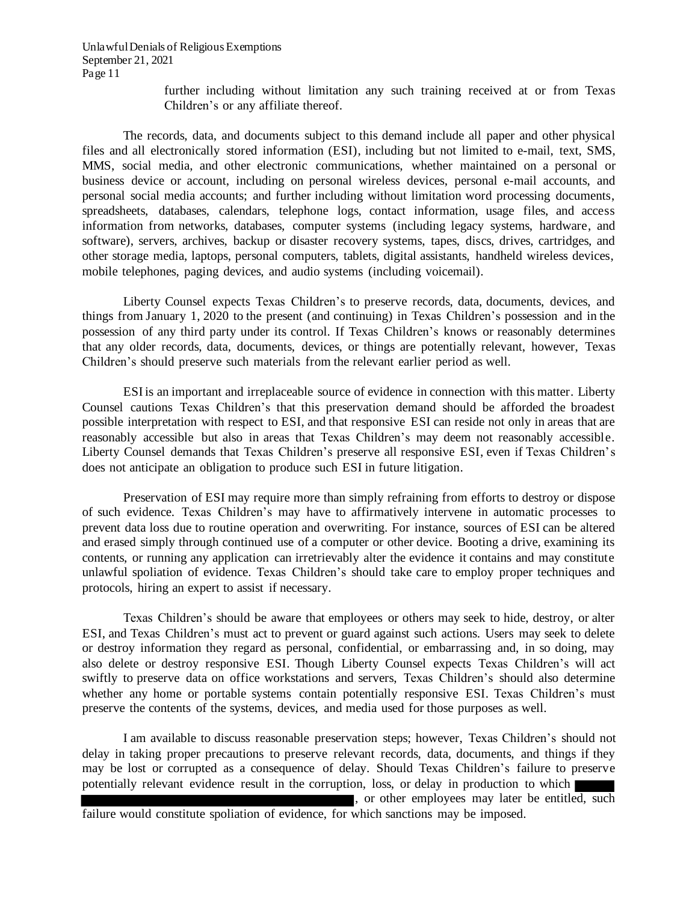> further including without limitation any such training received at or from Texas Children's or any affiliate thereof.

The records, data, and documents subject to this demand include all paper and other physical files and all electronically stored information (ESI), including but not limited to e-mail, text, SMS, MMS, social media, and other electronic communications, whether maintained on a personal or business device or account, including on personal wireless devices, personal e-mail accounts, and personal social media accounts; and further including without limitation word processing documents, spreadsheets, databases, calendars, telephone logs, contact information, usage files, and access information from networks, databases, computer systems (including legacy systems, hardware, and software), servers, archives, backup or disaster recovery systems, tapes, discs, drives, cartridges, and other storage media, laptops, personal computers, tablets, digital assistants, handheld wireless devices, mobile telephones, paging devices, and audio systems (including voicemail).

Liberty Counsel expects Texas Children's to preserve records, data, documents, devices, and things from January 1, 2020 to the present (and continuing) in Texas Children's possession and in the possession of any third party under its control. If Texas Children's knows or reasonably determines that any older records, data, documents, devices, or things are potentially relevant, however, Texas Children's should preserve such materials from the relevant earlier period as well.

ESI is an important and irreplaceable source of evidence in connection with this matter. Liberty Counsel cautions Texas Children's that this preservation demand should be afforded the broadest possible interpretation with respect to ESI, and that responsive ESI can reside not only in areas that are reasonably accessible but also in areas that Texas Children's may deem not reasonably accessible. Liberty Counsel demands that Texas Children's preserve all responsive ESI, even if Texas Children's does not anticipate an obligation to produce such ESI in future litigation.

Preservation of ESI may require more than simply refraining from efforts to destroy or dispose of such evidence. Texas Children's may have to affirmatively intervene in automatic processes to prevent data loss due to routine operation and overwriting. For instance, sources of ESI can be altered and erased simply through continued use of a computer or other device. Booting a drive, examining its contents, or running any application can irretrievably alter the evidence it contains and may constitute unlawful spoliation of evidence. Texas Children's should take care to employ proper techniques and protocols, hiring an expert to assist if necessary.

Texas Children's should be aware that employees or others may seek to hide, destroy, or alter ESI, and Texas Children's must act to prevent or guard against such actions. Users may seek to delete or destroy information they regard as personal, confidential, or embarrassing and, in so doing, may also delete or destroy responsive ESI. Though Liberty Counsel expects Texas Children's will act swiftly to preserve data on office workstations and servers, Texas Children's should also determine whether any home or portable systems contain potentially responsive ESI. Texas Children's must preserve the contents of the systems, devices, and media used for those purposes as well.

I am available to discuss reasonable preservation steps; however, Texas Children's should not delay in taking proper precautions to preserve relevant records, data, documents, and things if they may be lost or corrupted as a consequence of delay. Should Texas Children's failure to preserve potentially relevant evidence result in the corruption, loss, or delay in production to which

, or other employees may later be entitled, such failure would constitute spoliation of evidence, for which sanctions may be imposed.